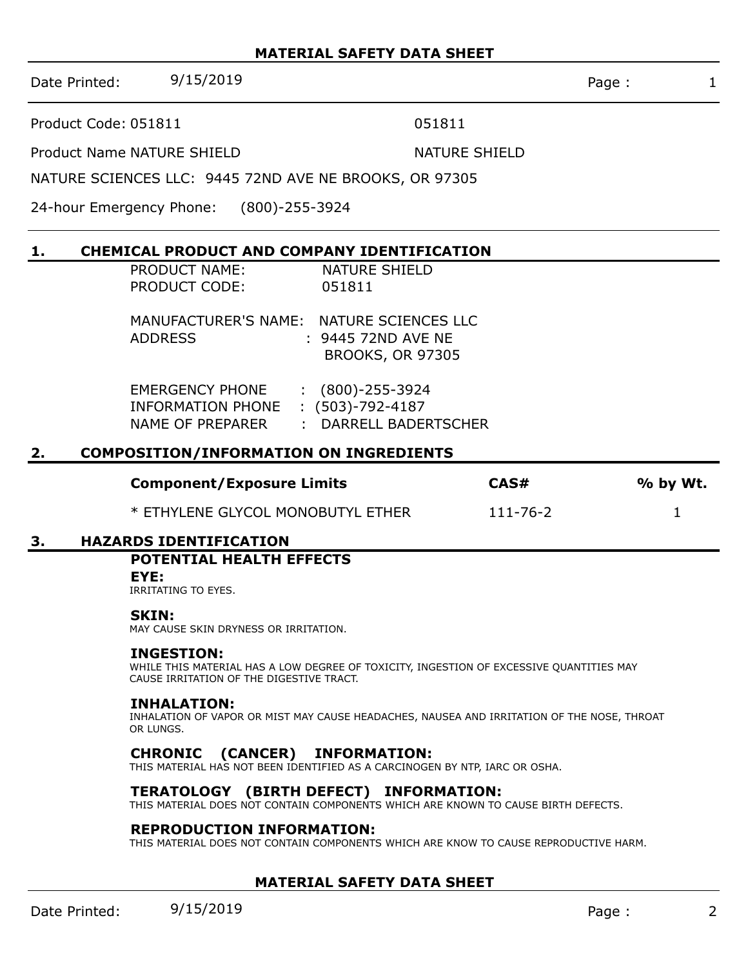### **MATERIAL SAFETY DATA SHEET**

Date Printed: 9/15/2019 Page : 1

Product Code: 051811 051811

Product Name NATURE SHIELD NATURE SHIELD

NATURE SCIENCES LLC: 9445 72ND AVE NE BROOKS, OR 97305

24-hour Emergency Phone: (800)-255-3924

# **1. CHEMICAL PRODUCT AND COMPANY IDENTIFICATION**

| <b>PRODUCT NAME:</b>                                                   | <b>NATURE SHIELD</b>                                                                      |
|------------------------------------------------------------------------|-------------------------------------------------------------------------------------------|
| <b>PRODUCT CODE:</b>                                                   | 051811                                                                                    |
| <b>ADDRESS</b>                                                         | MANUFACTURER'S NAME: NATURE SCIENCES LLC<br>: 9445 72ND AVE NE<br><b>BROOKS, OR 97305</b> |
| <b>EMERGENCY PHONE</b><br><b>INFORMATION PHONE</b><br>NAME OF PREPARER | $:(800)-255-3924$<br>$: (503)-792-4187$<br><b>DARRELL BADERTSCHER</b>                     |

# **2. COMPOSITION/INFORMATION ON INGREDIENTS**

| <b>Component/Exposure Limits</b>  | CAS#           | % by Wt. |
|-----------------------------------|----------------|----------|
| * ETHYLENE GLYCOL MONOBUTYL ETHER | $111 - 76 - 2$ |          |

### **3. HAZARDS IDENTIFICATION**

# **POTENTIAL HEALTH EFFECTS**

### **EYE:**

IRRITATING TO EYES.

### **SKIN:**

MAY CAUSE SKIN DRYNESS OR IRRITATION.

### **INGESTION:**

WHILE THIS MATERIAL HAS A LOW DEGREE OF TOXICITY, INGESTION OF EXCESSIVE QUANTITIES MAY CAUSE IRRITATION OF THE DIGESTIVE TRACT.

#### **INHALATION:**

INHALATION OF VAPOR OR MIST MAY CAUSE HEADACHES, NAUSEA AND IRRITATION OF THE NOSE, THROAT OR LUNGS.

### **CHRONIC (CANCER) INFORMATION:**

THIS MATERIAL HAS NOT BEEN IDENTIFIED AS A CARCINOGEN BY NTP, IARC OR OSHA.

### **TERATOLOGY (BIRTH DEFECT) INFORMATION:**

THIS MATERIAL DOES NOT CONTAIN COMPONENTS WHICH ARE KNOWN TO CAUSE BIRTH DEFECTS.

#### **REPRODUCTION INFORMATION:**

THIS MATERIAL DOES NOT CONTAIN COMPONENTS WHICH ARE KNOW TO CAUSE REPRODUCTIVE HARM.

### **MATERIAL SAFETY DATA SHEET**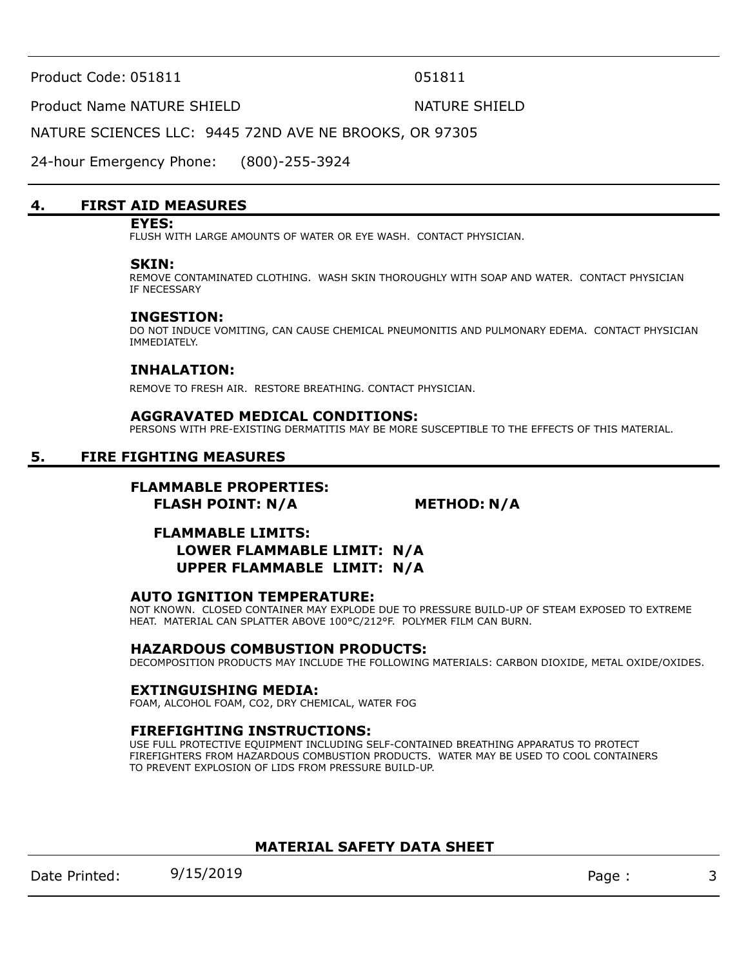Product Code: 051811 051811

#### Product Name NATURE SHIELD NATURE SHIELD

NATURE SCIENCES LLC: 9445 72ND AVE NE BROOKS, OR 97305

24-hour Emergency Phone: (800)-255-3924

#### **4. FIRST AID MEASURES**

#### **EYES:**

FLUSH WITH LARGE AMOUNTS OF WATER OR EYE WASH. CONTACT PHYSICIAN.

#### **SKIN:**

REMOVE CONTAMINATED CLOTHING. WASH SKIN THOROUGHLY WITH SOAP AND WATER. CONTACT PHYSICIAN IF NECESSARY

#### **INGESTION:**

DO NOT INDUCE VOMITING, CAN CAUSE CHEMICAL PNEUMONITIS AND PULMONARY EDEMA. CONTACT PHYSICIAN IMMEDIATELY.

### **INHALATION:**

REMOVE TO FRESH AIR. RESTORE BREATHING. CONTACT PHYSICIAN.

#### **AGGRAVATED MEDICAL CONDITIONS:**

PERSONS WITH PRE-EXISTING DERMATITIS MAY BE MORE SUSCEPTIBLE TO THE EFFECTS OF THIS MATERIAL.

### **5. FIRE FIGHTING MEASURES**

# **FLAMMABLE PROPERTIES:**

 **FLASH POINT: N/A METHOD: N/A**

# **FLAMMABLE LIMITS: LOWER FLAMMABLE LIMIT: N/A UPPER FLAMMABLE LIMIT: N/A**

#### **AUTO IGNITION TEMPERATURE:**

NOT KNOWN. CLOSED CONTAINER MAY EXPLODE DUE TO PRESSURE BUILD-UP OF STEAM EXPOSED TO EXTREME HEAT. MATERIAL CAN SPLATTER ABOVE 100°C/212°F. POLYMER FILM CAN BURN.

#### **HAZARDOUS COMBUSTION PRODUCTS:**

DECOMPOSITION PRODUCTS MAY INCLUDE THE FOLLOWING MATERIALS: CARBON DIOXIDE, METAL OXIDE/OXIDES.

#### **EXTINGUISHING MEDIA:**

FOAM, ALCOHOL FOAM, CO2, DRY CHEMICAL, WATER FOG

#### **FIREFIGHTING INSTRUCTIONS:**

USE FULL PROTECTIVE EQUIPMENT INCLUDING SELF-CONTAINED BREATHING APPARATUS TO PROTECT FIREFIGHTERS FROM HAZARDOUS COMBUSTION PRODUCTS. WATER MAY BE USED TO COOL CONTAINERS TO PREVENT EXPLOSION OF LIDS FROM PRESSURE BUILD-UP.

### **MATERIAL SAFETY DATA SHEET**

Date Printed: 9/15/2019 Page : 3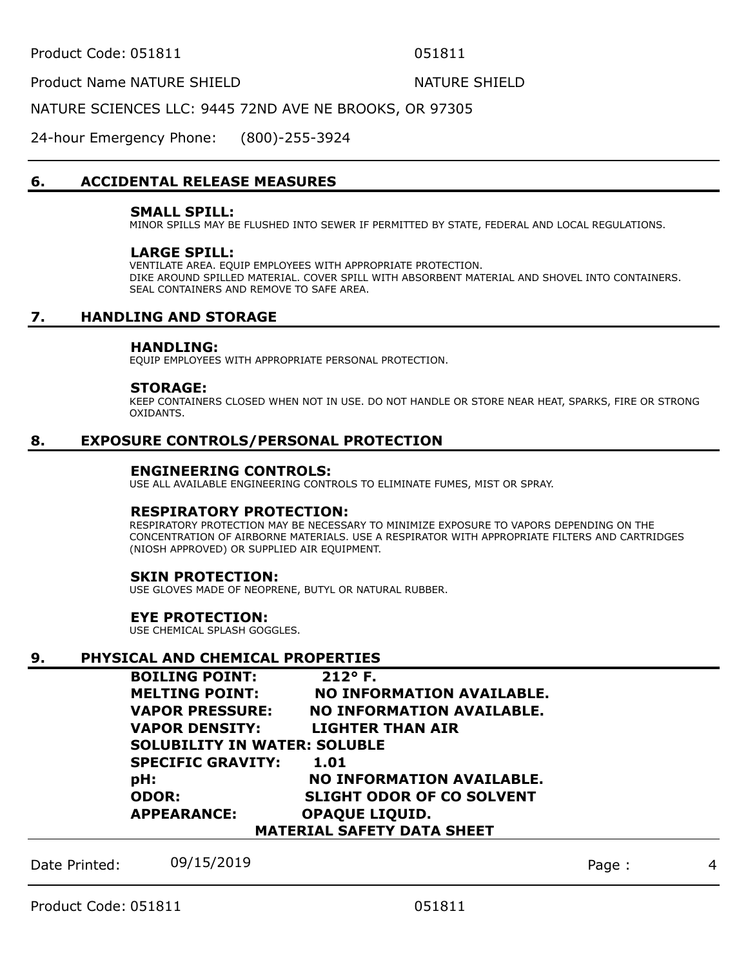Product Name NATURE SHIELD NATURE SHIELD

NATURE SCIENCES LLC: 9445 72ND AVE NE BROOKS, OR 97305

24-hour Emergency Phone: (800)-255-3924

# **6. ACCIDENTAL RELEASE MEASURES**

#### **SMALL SPILL:**

MINOR SPILLS MAY BE FLUSHED INTO SEWER IF PERMITTED BY STATE, FEDERAL AND LOCAL REGULATIONS.

#### **LARGE SPILL:**

VENTILATE AREA. EQUIP EMPLOYEES WITH APPROPRIATE PROTECTION. DIKE AROUND SPILLED MATERIAL. COVER SPILL WITH ABSORBENT MATERIAL AND SHOVEL INTO CONTAINERS. SEAL CONTAINERS AND REMOVE TO SAFE AREA.

# **7. HANDLING AND STORAGE**

#### **HANDLING:**

EQUIP EMPLOYEES WITH APPROPRIATE PERSONAL PROTECTION.

#### **STORAGE:**

KEEP CONTAINERS CLOSED WHEN NOT IN USE. DO NOT HANDLE OR STORE NEAR HEAT, SPARKS, FIRE OR STRONG OXIDANTS.

### **8. EXPOSURE CONTROLS/PERSONAL PROTECTION**

#### **ENGINEERING CONTROLS:**

USE ALL AVAILABLE ENGINEERING CONTROLS TO ELIMINATE FUMES, MIST OR SPRAY.

#### **RESPIRATORY PROTECTION:**

RESPIRATORY PROTECTION MAY BE NECESSARY TO MINIMIZE EXPOSURE TO VAPORS DEPENDING ON THE CONCENTRATION OF AIRBORNE MATERIALS. USE A RESPIRATOR WITH APPROPRIATE FILTERS AND CARTRIDGES (NIOSH APPROVED) OR SUPPLIED AIR EQUIPMENT.

### **SKIN PROTECTION:**

USE GLOVES MADE OF NEOPRENE, BUTYL OR NATURAL RUBBER.

### **EYE PROTECTION:**

USE CHEMICAL SPLASH GOGGLES.

### **9. PHYSICAL AND CHEMICAL PROPERTIES**

| <b>BOILING POINT:</b>               | 212° F.                          |  |  |
|-------------------------------------|----------------------------------|--|--|
| <b>MELTING POINT:</b>               | <b>NO INFORMATION AVAILABLE.</b> |  |  |
| <b>VAPOR PRESSURE:</b>              | <b>NO INFORMATION AVAILABLE.</b> |  |  |
| <b>VAPOR DENSITY:</b>               | LIGHTER THAN AIR                 |  |  |
| <b>SOLUBILITY IN WATER: SOLUBLE</b> |                                  |  |  |
| <b>SPECIFIC GRAVITY:</b>            | 1.01                             |  |  |
| pH:                                 | <b>NO INFORMATION AVAILABLE.</b> |  |  |
| <b>ODOR:</b>                        | <b>SLIGHT ODOR OF CO SOLVENT</b> |  |  |
| <b>APPEARANCE:</b>                  | <b>OPAQUE LIQUID.</b>            |  |  |
| <b>MATERIAL SAFETY DATA SHEET</b>   |                                  |  |  |

Date Printed: 09/15/2019 Page : 4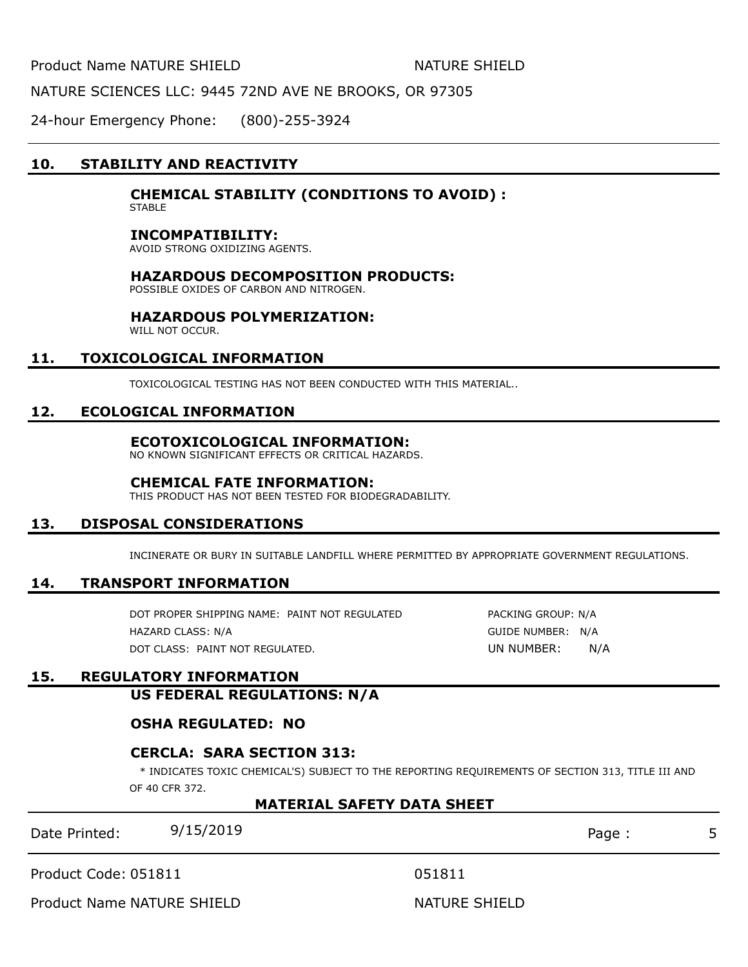Product Name NATURE SHIELD NATURE SHIELD

NATURE SCIENCES LLC: 9445 72ND AVE NE BROOKS, OR 97305

24-hour Emergency Phone: (800)-255-3924

# **10. STABILITY AND REACTIVITY**

### **CHEMICAL STABILITY (CONDITIONS TO AVOID) :**

**STABLE** 

#### **INCOMPATIBILITY:**

AVOID STRONG OXIDIZING AGENTS.

#### **HAZARDOUS DECOMPOSITION PRODUCTS:**

POSSIBLE OXIDES OF CARBON AND NITROGEN.

#### **HAZARDOUS POLYMERIZATION:**

WILL NOT OCCUR.

### **11. TOXICOLOGICAL INFORMATION**

TOXICOLOGICAL TESTING HAS NOT BEEN CONDUCTED WITH THIS MATERIAL..

#### **12. ECOLOGICAL INFORMATION**

#### **ECOTOXICOLOGICAL INFORMATION:**

NO KNOWN SIGNIFICANT EFFECTS OR CRITICAL HAZARDS.

#### **CHEMICAL FATE INFORMATION:**

THIS PRODUCT HAS NOT BEEN TESTED FOR BIODEGRADABILITY.

### **13. DISPOSAL CONSIDERATIONS**

INCINERATE OR BURY IN SUITABLE LANDFILL WHERE PERMITTED BY APPROPRIATE GOVERNMENT REGULATIONS.

#### **14. TRANSPORT INFORMATION**

DOT PROPER SHIPPING NAME: PAINT NOT REGULATED PACKING GROUP: N/A HAZARD CLASS: N/A GUIDE NUMBER: N/A DOT CLASS: PAINT NOT REGULATED. UN NUMBER: N/A

### **15. REGULATORY INFORMATION**

**US FEDERAL REGULATIONS: N/A**

### **OSHA REGULATED: NO**

### **CERCLA: SARA SECTION 313:**

\* INDICATES TOXIC CHEMICAL'S) SUBJECT TO THE REPORTING REQUIREMENTS OF SECTION 313, TITLE III AND OF 40 CFR 372.

#### **MATERIAL SAFETY DATA SHEET**

| Date Printed: | 9/15/2019 | Page |  |
|---------------|-----------|------|--|
|               |           |      |  |

Product Code: 051811 051811

Product Name NATURE SHIELD NATURE SHIELD